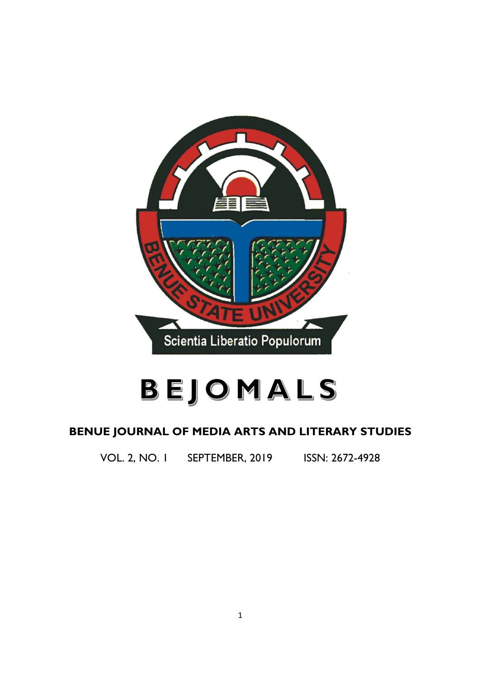

# BEJOMALS

# **BENUE JOURNAL OF MEDIA ARTS AND LITERARY STUDIES**

VOL. 2, NO. 1 SEPTEMBER, 2019 ISSN: 2672-4928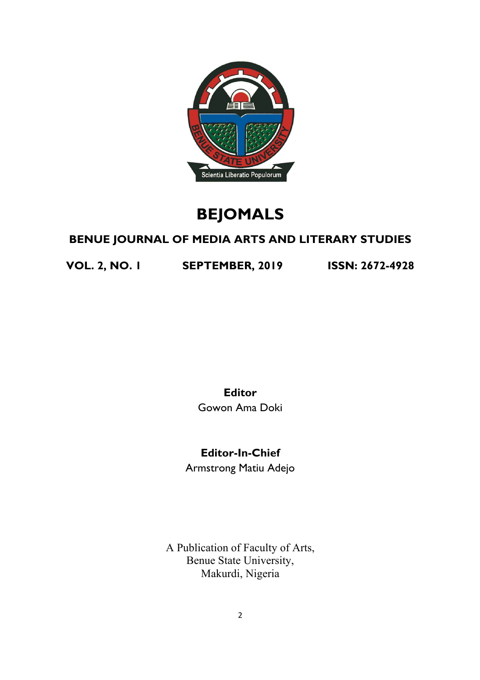

# **BEJOMALS**

# **BENUE JOURNAL OF MEDIA ARTS AND LITERARY STUDIES**

**VOL. 2, NO. 1 SEPTEMBER, 2019 ISSN: 2672-4928**

**Editor** Gowon Ama Doki

**Editor-In-Chief**

Armstrong Matiu Adejo

A Publication of Faculty of Arts, Benue State University, Makurdi, Nigeria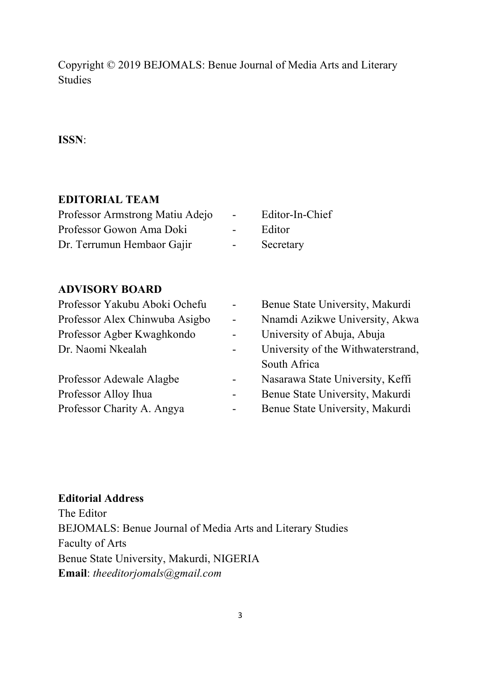Copyright © 2019 BEJOMALS: Benue Journal of Media Arts and Literary Studies

#### **ISSN**:

#### **EDITORIAL TEAM**

| Professor Armstrong Matiu Adejo | <b>Service</b>   | Editor-In-Chief |
|---------------------------------|------------------|-----------------|
| Professor Gowon Ama Doki        | <b>Service</b>   | Editor          |
| Dr. Terrumun Hembaor Gajir      | $\sim$ 100 $\mu$ | Secretary       |

#### **ADVISORY BOARD**

| Professor Yakubu Aboki Ochefu  | $\blacksquare$ | Benue State University, Makurdi    |
|--------------------------------|----------------|------------------------------------|
| Professor Alex Chinwuba Asigbo | $\blacksquare$ | Nnamdi Azikwe University, Akwa     |
| Professor Agber Kwaghkondo     | $\blacksquare$ | University of Abuja, Abuja         |
| Dr. Naomi Nkealah              | $\blacksquare$ | University of the Withwaterstrand, |
|                                |                | South Africa                       |
| Professor Adewale Alagbe       | $\blacksquare$ | Nasarawa State University, Keffi   |
| Professor Alloy Ihua           | $\blacksquare$ | Benue State University, Makurdi    |
| Professor Charity A. Angya     | $\overline{a}$ | Benue State University, Makurdi    |

#### **Editorial Address**

The Editor BEJOMALS: Benue Journal of Media Arts and Literary Studies Faculty of Arts Benue State University, Makurdi, NIGERIA **Email**: *theeditorjomals@gmail.com*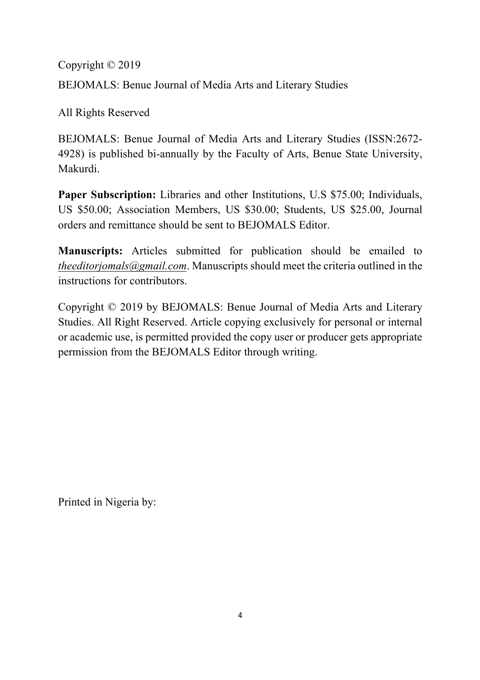Copyright © 2019 BEJOMALS: Benue Journal of Media Arts and Literary Studies

All Rights Reserved

BEJOMALS: Benue Journal of Media Arts and Literary Studies (ISSN:2672- 4928) is published bi-annually by the Faculty of Arts, Benue State University, Makurdi.

**Paper Subscription:** Libraries and other Institutions, U.S \$75.00; Individuals, US \$50.00; Association Members, US \$30.00; Students, US \$25.00, Journal orders and remittance should be sent to BEJOMALS Editor.

**Manuscripts:** Articles submitted for publication should be emailed to *theeditorjomals@gmail.com*. Manuscripts should meet the criteria outlined in the instructions for contributors.

Copyright © 2019 by BEJOMALS: Benue Journal of Media Arts and Literary Studies. All Right Reserved. Article copying exclusively for personal or internal or academic use, is permitted provided the copy user or producer gets appropriate permission from the BEJOMALS Editor through writing.

Printed in Nigeria by: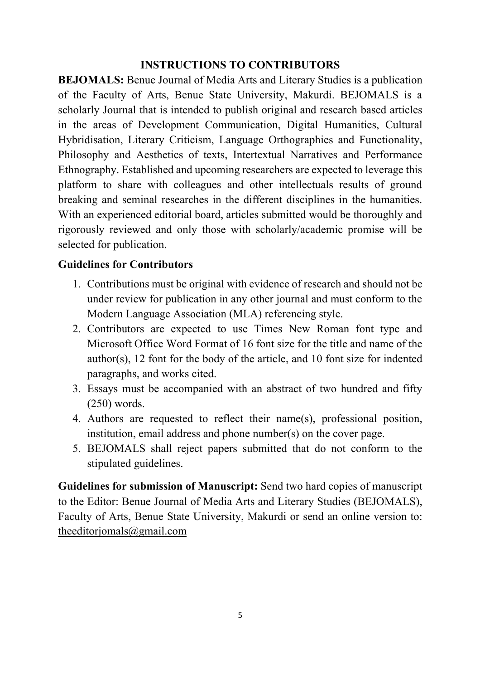#### **INSTRUCTIONS TO CONTRIBUTORS**

**BEJOMALS:** Benue Journal of Media Arts and Literary Studies is a publication of the Faculty of Arts, Benue State University, Makurdi. BEJOMALS is a scholarly Journal that is intended to publish original and research based articles in the areas of Development Communication, Digital Humanities, Cultural Hybridisation, Literary Criticism, Language Orthographies and Functionality, Philosophy and Aesthetics of texts, Intertextual Narratives and Performance Ethnography. Established and upcoming researchers are expected to leverage this platform to share with colleagues and other intellectuals results of ground breaking and seminal researches in the different disciplines in the humanities. With an experienced editorial board, articles submitted would be thoroughly and rigorously reviewed and only those with scholarly/academic promise will be selected for publication.

#### **Guidelines for Contributors**

- 1. Contributions must be original with evidence of research and should not be under review for publication in any other journal and must conform to the Modern Language Association (MLA) referencing style.
- 2. Contributors are expected to use Times New Roman font type and Microsoft Office Word Format of 16 font size for the title and name of the author(s), 12 font for the body of the article, and 10 font size for indented paragraphs, and works cited.
- 3. Essays must be accompanied with an abstract of two hundred and fifty (250) words.
- 4. Authors are requested to reflect their name(s), professional position, institution, email address and phone number(s) on the cover page.
- 5. BEJOMALS shall reject papers submitted that do not conform to the stipulated guidelines.

**Guidelines for submission of Manuscript:** Send two hard copies of manuscript to the Editor: Benue Journal of Media Arts and Literary Studies (BEJOMALS), Faculty of Arts, Benue State University, Makurdi or send an online version to: theeditorjomals@gmail.com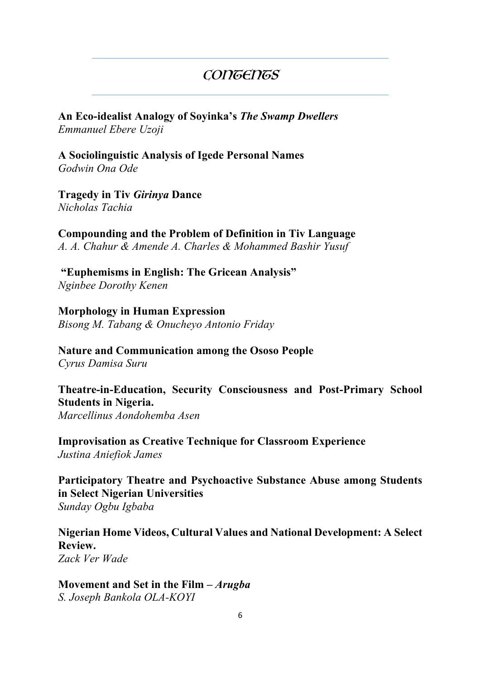### **CONGENGS**

**An Eco-idealist Analogy of Soyinka's** *The Swamp Dwellers Emmanuel Ebere Uzoji*

**A Sociolinguistic Analysis of Igede Personal Names** *Godwin Ona Ode*

**Tragedy in Tiv** *Girinya* **Dance**  *Nicholas Tachia*

**Compounding and the Problem of Definition in Tiv Language** *A. A. Chahur & Amende A. Charles & Mohammed Bashir Yusuf*

**"Euphemisms in English: The Gricean Analysis"** *Nginbee Dorothy Kenen*

**Morphology in Human Expression** *Bisong M. Tabang & Onucheyo Antonio Friday*

**Nature and Communication among the Ososo People** *Cyrus Damisa Suru*

**Theatre-in-Education, Security Consciousness and Post-Primary School Students in Nigeria.** *Marcellinus Aondohemba Asen* 

**Improvisation as Creative Technique for Classroom Experience** *Justina Aniefiok James*

**Participatory Theatre and Psychoactive Substance Abuse among Students in Select Nigerian Universities** *Sunday Ogbu Igbaba*

**Nigerian Home Videos, Cultural Values and National Development: A Select Review.** *Zack Ver Wade*

**Movement and Set in the Film –** *Arugba*

*S. Joseph Bankola OLA-KOYI*